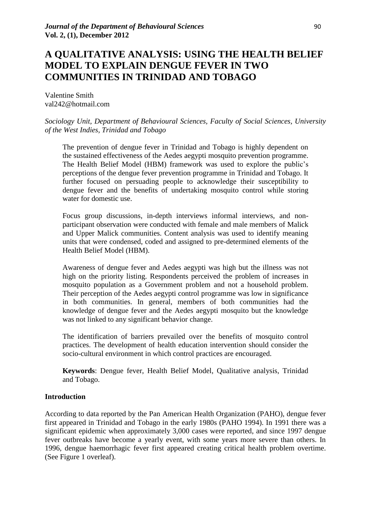# **A QUALITATIVE ANALYSIS: USING THE HEALTH BELIEF MODEL TO EXPLAIN DENGUE FEVER IN TWO COMMUNITIES IN TRINIDAD AND TOBAGO**

Valentine Smith val242@hotmail.com

## *Sociology Unit, Department of Behavioural Sciences, Faculty of Social Sciences, University of the West Indies, Trinidad and Tobago*

The prevention of dengue fever in Trinidad and Tobago is highly dependent on the sustained effectiveness of the Aedes aegypti mosquito prevention programme. The Health Belief Model (HBM) framework was used to explore the public"s perceptions of the dengue fever prevention programme in Trinidad and Tobago. It further focused on persuading people to acknowledge their susceptibility to dengue fever and the benefits of undertaking mosquito control while storing water for domestic use.

Focus group discussions, in-depth interviews informal interviews, and nonparticipant observation were conducted with female and male members of Malick and Upper Malick communities. Content analysis was used to identify meaning units that were condensed, coded and assigned to pre-determined elements of the Health Belief Model (HBM).

Awareness of dengue fever and Aedes aegypti was high but the illness was not high on the priority listing. Respondents perceived the problem of increases in mosquito population as a Government problem and not a household problem. Their perception of the Aedes aegypti control programme was low in significance in both communities. In general, members of both communities had the knowledge of dengue fever and the Aedes aegypti mosquito but the knowledge was not linked to any significant behavior change.

The identification of barriers prevailed over the benefits of mosquito control practices. The development of health education intervention should consider the socio-cultural environment in which control practices are encouraged.

**Keywords**: Dengue fever, Health Belief Model, Qualitative analysis, Trinidad and Tobago.

## **Introduction**

According to data reported by the Pan American Health Organization (PAHO), dengue fever first appeared in Trinidad and Tobago in the early 1980s (PAHO 1994). In 1991 there was a significant epidemic when approximately 3,000 cases were reported, and since 1997 dengue fever outbreaks have become a yearly event, with some years more severe than others. In 1996, dengue haemorrhagic fever first appeared creating critical health problem overtime. (See Figure 1 overleaf).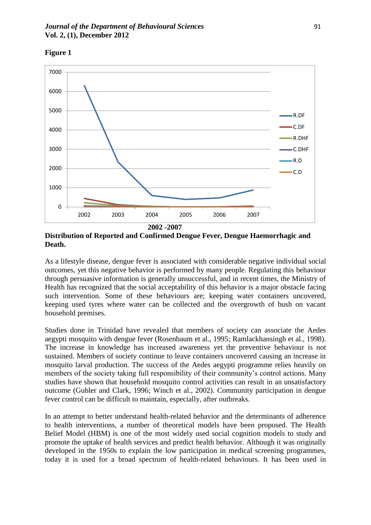

**Figure 1**

**Distribution of Reported and Confirmed Dengue Fever, Dengue Haemorrhagic and Death.**

As a lifestyle disease, dengue fever is associated with considerable negative individual social outcomes, yet this negative behavior is performed by many people. Regulating this behaviour through persuasive information is generally unsuccessful, and in recent times, the Ministry of Health has recognized that the social acceptability of this behavior is a major obstacle facing such intervention. Some of these behaviours are; keeping water containers uncovered, keeping used tyres where water can be collected and the overgrowth of bush on vacant household premises.

Studies done in Trinidad have revealed that members of society can associate the Aedes aegypti mosquito with dengue fever (Rosenbaum et al., 1995; Ramlackhansingh et al., 1998). The increase in knowledge has increased awareness yet the preventive behaviour is not sustained. Members of society continue to leave containers uncovered causing an increase in mosquito larval production. The success of the Aedes aegypti programme relies heavily on members of the society taking full responsibility of their community's control actions. Many studies have shown that household mosquito control activities can result in an unsatisfactory outcome (Gubler and Clark, 1996; Winch et al., 2002). Community participation in dengue fever control can be difficult to maintain, especially, after outbreaks.

In an attempt to better understand health-related behavior and the determinants of adherence to health interventions, a number of theoretical models have been proposed. The Health Belief Model (HBM) is one of the most widely used social cognition models to study and promote the uptake of health services and predict health behavior. Although it was originally developed in the 1950s to explain the low participation in medical screening programmes, today it is used for a broad spectrum of health-related behaviours. It has been used in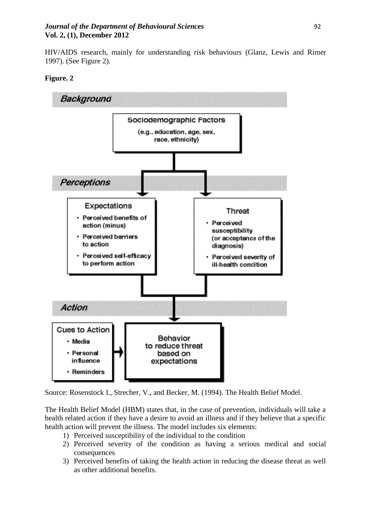## *Journal of the Department of Behavioural Sciences 92* **Vol. 2, (1), December 2012**

HIV/AIDS research, mainly for understanding risk behaviours (Glanz, Lewis and Rimer 1997). (See Figure 2).





Source: Rosenstock I., Strecher, V., and Becker, M. (1994). The Health Belief Model.

The Health Belief Model (HBM) states that, in the case of prevention, individuals will take a health related action if they have a desire to avoid an illness and if they believe that a specific health action will prevent the illness. The model includes six elements:

- 1) Perceived susceptibility of the individual to the condition
- 2) Perceived severity of the condition as having a serious medical and social consequences
- 3) Perceived benefits of taking the health action in reducing the disease threat as well as other additional benefits.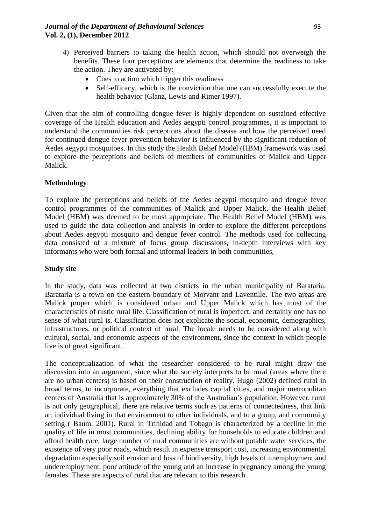- 4) Perceived barriers to taking the health action, which should not overweigh the benefits. These four perceptions are elements that determine the readiness to take the action. They are activated by:
	- Cues to action which trigger this readiness
	- Self-efficacy, which is the conviction that one can successfully execute the health behavior (Glanz, Lewis and Rimer 1997).

Given that the aim of controlling dengue fever is highly dependent on sustained effective coverage of the Health education and Aedes aegypti control programmes, it is important to understand the communities risk perceptions about the disease and how the perceived need for continued dengue fever prevention behavior is influenced by the significant reduction of Aedes aegypti mosquitoes. In this study the Health Belief Model (HBM) framework was used to explore the perceptions and beliefs of members of communities of Malick and Upper Malick.

# **Methodology**

To explore the perceptions and beliefs of the Aedes aegypti mosquito and dengue fever control programmes of the communities of Malick and Upper Malick, the Health Belief Model (HBM) was deemed to be most appropriate. The Health Belief Model (HBM) was used to guide the data collection and analysis in order to explore the different perceptions about Aedes aegypti mosquito and dengue fever control. The methods used for collecting data consisted of a mixture of focus group discussions, in-depth interviews with key informants who were both formal and informal leaders in both communities,

# **Study site**

In the study, data was collected at two districts in the urban municipality of Barataria. Barataria is a town on the eastern boundary of Morvant and Laventille. The two areas are Malick proper which is considered urban and Upper Malick which has most of the characteristics of rustic rural life. Classification of rural is imperfect, and certainly one has no sense of what rural is. Classification does not explicate the social, economic, demographics, infrastructures, or political context of rural. The locale needs to be considered along with cultural, social, and economic aspects of the environment, since the context in which people live is of great significant.

The conceptualization of what the researcher considered to be rural might draw the discussion into an argument, since what the society interprets to be rural (areas where there are no urban centers) is based on their construction of reality. Hugo (2002) defined rural in broad terms, to incorporate, everything that excludes capital cities, and major metropolitan centers of Australia that is approximately 30% of the Australian"s population. However, rural is not only geographical, there are relative terms such as patterns of connectedness, that link an individual living in that environment to other individuals, and to a group, and community setting ( Baum, 2001). Rural in Trinidad and Tobago is characterized by a decline in the quality of life in most communities, declining ability for households to educate children and afford health care, large number of rural communities are without potable water services, the existence of very poor roads, which result in expense transport cost, increasing environmental degradation especially soil erosion and loss of biodiversity, high levels of unemployment and underemployment, poor attitude of the young and an increase in pregnancy among the young females. These are aspects of rural that are relevant to this research.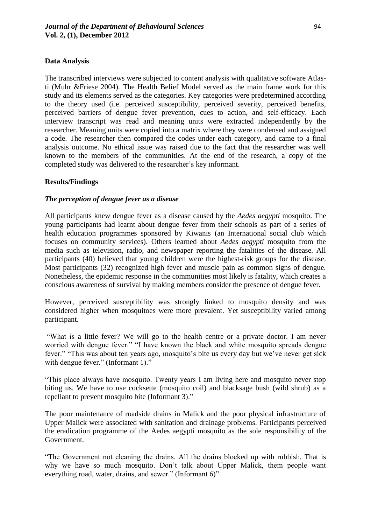## **Data Analysis**

The transcribed interviews were subjected to content analysis with qualitative software Atlasti (Muhr &Friese 2004). The Health Belief Model served as the main frame work for this study and its elements served as the categories. Key categories were predetermined according to the theory used (i.e. perceived susceptibility, perceived severity, perceived benefits, perceived barriers of dengue fever prevention, cues to action, and self-efficacy. Each interview transcript was read and meaning units were extracted independently by the researcher. Meaning units were copied into a matrix where they were condensed and assigned a code. The researcher then compared the codes under each category, and came to a final analysis outcome. No ethical issue was raised due to the fact that the researcher was well known to the members of the communities. At the end of the research, a copy of the completed study was delivered to the researcher"s key informant.

## **Results/Findings**

## *The perception of dengue fever as a disease*

All participants knew dengue fever as a disease caused by the *Aedes aegypti* mosquito. The young participants had learnt about dengue fever from their schools as part of a series of health education programmes sponsored by Kiwanis (an International social club which focuses on community services). Others learned about *Aedes aegypti* mosquito from the media such as television, radio, and newspaper reporting the fatalities of the disease. All participants (40) believed that young children were the highest-risk groups for the disease. Most participants (32) recognized high fever and muscle pain as common signs of dengue. Nonetheless, the epidemic response in the communities most likely is fatality, which creates a conscious awareness of survival by making members consider the presence of dengue fever.

However, perceived susceptibility was strongly linked to mosquito density and was considered higher when mosquitoes were more prevalent. Yet susceptibility varied among participant.

"What is a little fever? We will go to the health centre or a private doctor. I am never worried with dengue fever." "I have known the black and white mosquito spreads dengue fever." "This was about ten years ago, mosquito's bite us every day but we've never get sick with dengue fever." (Informant 1)."

"This place always have mosquito. Twenty years I am living here and mosquito never stop biting us. We have to use cocksette (mosquito coil) and blacksage bush (wild shrub) as a repellant to prevent mosquito bite (Informant 3)."

The poor maintenance of roadside drains in Malick and the poor physical infrastructure of Upper Malick were associated with sanitation and drainage problems. Participants perceived the eradication programme of the Aedes aegypti mosquito as the sole responsibility of the Government.

"The Government not cleaning the drains. All the drains blocked up with rubbish. That is why we have so much mosquito. Don't talk about Upper Malick, them people want everything road, water, drains, and sewer." (Informant 6)"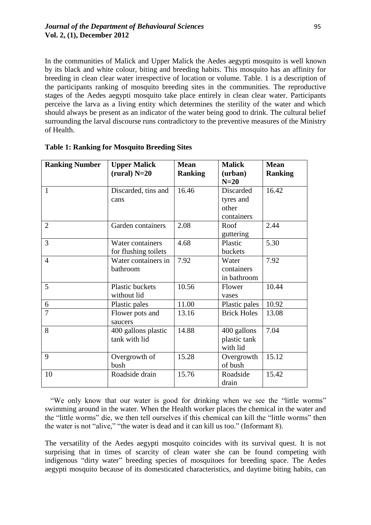In the communities of Malick and Upper Malick the Aedes aegypti mosquito is well known by its black and white colour, biting and breeding habits. This mosquito has an affinity for breeding in clean clear water irrespective of location or volume. Table. 1 is a description of the participants ranking of mosquito breeding sites in the communities. The reproductive stages of the Aedes aegypti mosquito take place entirely in clean clear water. Participants perceive the larva as a living entity which determines the sterility of the water and which should always be present as an indicator of the water being good to drink. The cultural belief surrounding the larval discourse runs contradictory to the preventive measures of the Ministry of Health.

| <b>Ranking Number</b> | <b>Upper Malick</b><br>$(rural)$ N=20 | <b>Mean</b><br><b>Ranking</b> | <b>Malick</b><br>(urban) | <b>Mean</b><br><b>Ranking</b> |
|-----------------------|---------------------------------------|-------------------------------|--------------------------|-------------------------------|
|                       |                                       |                               | $N=20$                   |                               |
| $\mathbf{1}$          | Discarded, tins and                   | 16.46                         | Discarded                | 16.42                         |
|                       | cans                                  |                               | tyres and                |                               |
|                       |                                       |                               | other                    |                               |
|                       |                                       |                               | containers               |                               |
| $\overline{2}$        | Garden containers                     | 2.08                          | Roof                     | 2.44                          |
|                       |                                       |                               | guttering                |                               |
| 3                     | Water containers                      | 4.68                          | Plastic                  | 5.30                          |
|                       | for flushing toilets                  |                               | buckets                  |                               |
| $\overline{4}$        | Water containers in                   | 7.92                          | Water                    | 7.92                          |
|                       | bathroom                              |                               | containers               |                               |
|                       |                                       |                               | in bathroom              |                               |
| 5                     | Plastic buckets                       | 10.56                         | Flower                   | 10.44                         |
|                       | without lid                           |                               | vases                    |                               |
| 6                     | Plastic pales                         | 11.00                         | Plastic pales            | 10.92                         |
| $\overline{7}$        | Flower pots and                       | 13.16                         | <b>Brick Holes</b>       | 13.08                         |
|                       | saucers                               |                               |                          |                               |
| 8                     | 400 gallons plastic                   | 14.88                         | 400 gallons              | 7.04                          |
|                       | tank with lid                         |                               | plastic tank             |                               |
|                       |                                       |                               | with lid                 |                               |
| 9                     | Overgrowth of                         | 15.28                         | Overgrowth               | 15.12                         |
|                       | bush                                  |                               | of bush                  |                               |
| 10                    | Roadside drain                        | 15.76                         | Roadside                 | 15.42                         |
|                       |                                       |                               | drain                    |                               |

|  | <b>Table 1: Ranking for Mosquito Breeding Sites</b> |  |  |  |
|--|-----------------------------------------------------|--|--|--|
|  |                                                     |  |  |  |

 "We only know that our water is good for drinking when we see the "little worms" swimming around in the water. When the Health worker places the chemical in the water and the "little worms" die, we then tell ourselves if this chemical can kill the "little worms" then the water is not "alive," "the water is dead and it can kill us too." (Informant 8).

The versatility of the Aedes aegypti mosquito coincides with its survival quest. It is not surprising that in times of scarcity of clean water she can be found competing with indigenous "dirty water" breeding species of mosquitoes for breeding space. The Aedes aegypti mosquito because of its domesticated characteristics, and daytime biting habits, can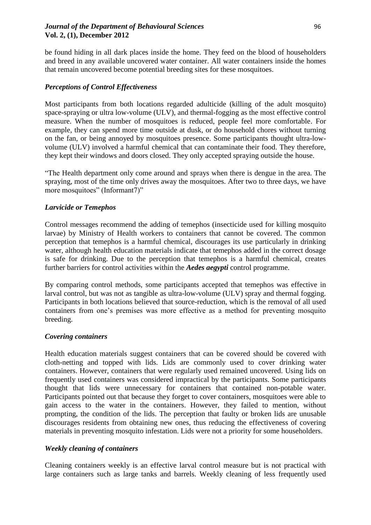## *<i>Journal of the Department of Behavioural Sciences* 96 **Vol. 2, (1), December 2012**

be found hiding in all dark places inside the home. They feed on the blood of householders and breed in any available uncovered water container. All water containers inside the homes that remain uncovered become potential breeding sites for these mosquitoes.

## *Perceptions of Control Effectiveness*

Most participants from both locations regarded adulticide (killing of the adult mosquito) space-spraying or ultra low-volume (ULV), and thermal-fogging as the most effective control measure. When the number of mosquitoes is reduced, people feel more comfortable. For example, they can spend more time outside at dusk, or do household chores without turning on the fan, or being annoyed by mosquitoes presence. Some participants thought ultra-lowvolume (ULV) involved a harmful chemical that can contaminate their food. They therefore, they kept their windows and doors closed. They only accepted spraying outside the house.

"The Health department only come around and sprays when there is dengue in the area. The spraying, most of the time only drives away the mosquitoes. After two to three days, we have more mosquitoes" (Informant7)"

## *Larvicide or Temephos*

Control messages recommend the adding of temephos (insecticide used for killing mosquito larvae) by Ministry of Health workers to containers that cannot be covered. The common perception that temephos is a harmful chemical, discourages its use particularly in drinking water, although health education materials indicate that temephos added in the correct dosage is safe for drinking. Due to the perception that temephos is a harmful chemical, creates further barriers for control activities within the *Aedes aegypti* control programme.

By comparing control methods, some participants accepted that temephos was effective in larval control, but was not as tangible as ultra-low-volume (ULV) spray and thermal fogging. Participants in both locations believed that source-reduction, which is the removal of all used containers from one"s premises was more effective as a method for preventing mosquito breeding.

## *Covering containers*

Health education materials suggest containers that can be covered should be covered with cloth-netting and topped with lids. Lids are commonly used to cover drinking water containers. However, containers that were regularly used remained uncovered. Using lids on frequently used containers was considered impractical by the participants. Some participants thought that lids were unnecessary for containers that contained non-potable water. Participants pointed out that because they forget to cover containers, mosquitoes were able to gain access to the water in the containers. However, they failed to mention, without prompting, the condition of the lids. The perception that faulty or broken lids are unusable discourages residents from obtaining new ones, thus reducing the effectiveness of covering materials in preventing mosquito infestation. Lids were not a priority for some householders.

# *Weekly cleaning of containers*

Cleaning containers weekly is an effective larval control measure but is not practical with large containers such as large tanks and barrels. Weekly cleaning of less frequently used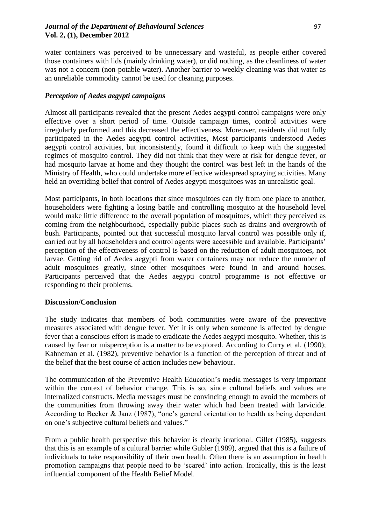water containers was perceived to be unnecessary and wasteful, as people either covered those containers with lids (mainly drinking water), or did nothing, as the cleanliness of water was not a concern (non-potable water). Another barrier to weekly cleaning was that water as an unreliable commodity cannot be used for cleaning purposes.

# *Perception of Aedes aegypti campaigns*

Almost all participants revealed that the present Aedes aegypti control campaigns were only effective over a short period of time. Outside campaign times, control activities were irregularly performed and this decreased the effectiveness. Moreover, residents did not fully participated in the Aedes aegypti control activities, Most participants understood Aedes aegypti control activities, but inconsistently, found it difficult to keep with the suggested regimes of mosquito control. They did not think that they were at risk for dengue fever, or had mosquito larvae at home and they thought the control was best left in the hands of the Ministry of Health, who could undertake more effective widespread spraying activities. Many held an overriding belief that control of Aedes aegypti mosquitoes was an unrealistic goal.

Most participants, in both locations that since mosquitoes can fly from one place to another, householders were fighting a losing battle and controlling mosquito at the household level would make little difference to the overall population of mosquitoes, which they perceived as coming from the neighbourhood, especially public places such as drains and overgrowth of bush. Participants, pointed out that successful mosquito larval control was possible only if, carried out by all householders and control agents were accessible and available. Participants' perception of the effectiveness of control is based on the reduction of adult mosquitoes, not larvae. Getting rid of Aedes aegypti from water containers may not reduce the number of adult mosquitoes greatly, since other mosquitoes were found in and around houses. Participants perceived that the Aedes aegypti control programme is not effective or responding to their problems.

# **Discussion/Conclusion**

The study indicates that members of both communities were aware of the preventive measures associated with dengue fever. Yet it is only when someone is affected by dengue fever that a conscious effort is made to eradicate the Aedes aegypti mosquito. Whether, this is caused by fear or misperception is a matter to be explored. According to Curry et al. (1990); Kahneman et al. (1982), preventive behavior is a function of the perception of threat and of the belief that the best course of action includes new behaviour.

The communication of the Preventive Health Education"s media messages is very important within the context of behavior change. This is so, since cultural beliefs and values are internalized constructs. Media messages must be convincing enough to avoid the members of the communities from throwing away their water which had been treated with larvicide. According to Becker & Janz (1987), "one"s general orientation to health as being dependent on one"s subjective cultural beliefs and values."

From a public health perspective this behavior is clearly irrational. Gillet (1985), suggests that this is an example of a cultural barrier while Gubler (1989), argued that this is a failure of individuals to take responsibility of their own health. Often there is an assumption in health promotion campaigns that people need to be "scared" into action. Ironically, this is the least influential component of the Health Belief Model.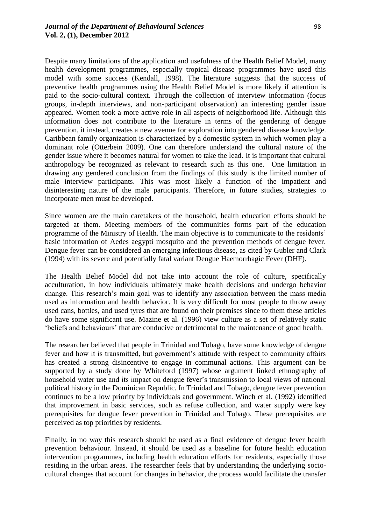Despite many limitations of the application and usefulness of the Health Belief Model, many health development programmes, especially tropical disease programmes have used this model with some success (Kendall, 1998). The literature suggests that the success of preventive health programmes using the Health Belief Model is more likely if attention is paid to the socio-cultural context. Through the collection of interview information (focus groups, in-depth interviews, and non-participant observation) an interesting gender issue appeared. Women took a more active role in all aspects of neighborhood life. Although this information does not contribute to the literature in terms of the gendering of dengue prevention, it instead, creates a new avenue for exploration into gendered disease knowledge. Caribbean family organization is characterized by a domestic system in which women play a dominant role (Otterbein 2009). One can therefore understand the cultural nature of the gender issue where it becomes natural for women to take the lead. It is important that cultural anthropology be recognized as relevant to research such as this one. One limitation in drawing any gendered conclusion from the findings of this study is the limited number of male interview participants. This was most likely a function of the impatient and disinteresting nature of the male participants. Therefore, in future studies, strategies to incorporate men must be developed.

Since women are the main caretakers of the household, health education efforts should be targeted at them. Meeting members of the communities forms part of the education programme of the Ministry of Health. The main objective is to communicate to the residents" basic information of Aedes aegypti mosquito and the prevention methods of dengue fever. Dengue fever can be considered an emerging infectious disease, as cited by Gubler and Clark (1994) with its severe and potentially fatal variant Dengue Haemorrhagic Fever (DHF).

The Health Belief Model did not take into account the role of culture, specifically acculturation, in how individuals ultimately make health decisions and undergo behavior change. This research"s main goal was to identify any association between the mass media used as information and health behavior. It is very difficult for most people to throw away used cans, bottles, and used tyres that are found on their premises since to them these articles do have some significant use. Mazine et al. (1996) view culture as a set of relatively static "beliefs and behaviours" that are conducive or detrimental to the maintenance of good health.

The researcher believed that people in Trinidad and Tobago, have some knowledge of dengue fever and how it is transmitted, but government's attitude with respect to community affairs has created a strong disincentive to engage in communal actions. This argument can be supported by a study done by Whiteford (1997) whose argument linked ethnography of household water use and its impact on dengue fever"s transmission to local views of national political history in the Dominican Republic. In Trinidad and Tobago, dengue fever prevention continues to be a low priority by individuals and government. Winch et al. (1992) identified that improvement in basic services, such as refuse collection, and water supply were key prerequisites for dengue fever prevention in Trinidad and Tobago. These prerequisites are perceived as top priorities by residents.

Finally, in no way this research should be used as a final evidence of dengue fever health prevention behaviour. Instead, it should be used as a baseline for future health education intervention programmes, including health education efforts for residents, especially those residing in the urban areas. The researcher feels that by understanding the underlying sociocultural changes that account for changes in behavior, the process would facilitate the transfer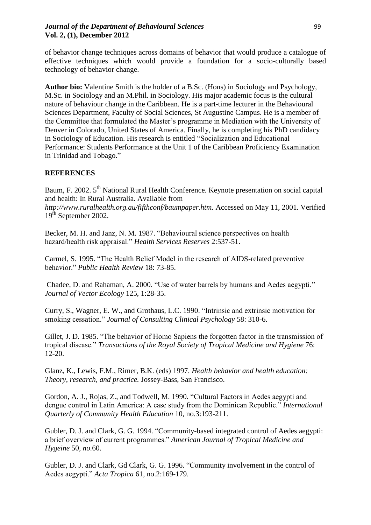## *Journal of the Department of Behavioural Sciences* 99 **Vol. 2, (1), December 2012**

of behavior change techniques across domains of behavior that would produce a catalogue of effective techniques which would provide a foundation for a socio-culturally based technology of behavior change.

**Author bio:** Valentine Smith is the holder of a B.Sc. (Hons) in Sociology and Psychology, M.Sc. in Sociology and an M.Phil. in Sociology. His major academic focus is the cultural nature of behaviour change in the Caribbean. He is a part-time lecturer in the Behavioural Sciences Department, Faculty of Social Sciences, St Augustine Campus. He is a member of the Committee that formulated the Master"s programme in Mediation with the University of Denver in Colorado, United States of America. Finally, he is completing his PhD candidacy in Sociology of Education. His research is entitled "Socialization and Educational Performance: Students Performance at the Unit 1 of the Caribbean Proficiency Examination in Trinidad and Tobago."

# **REFERENCES**

Baum, F. 2002. 5<sup>th</sup> National Rural Health Conference. Keynote presentation on social capital and health: In Rural Australia. Available from

*http://www.ruralhealth.org.au/fifthconf/baumpaper.htm.* Accessed on May 11, 2001. Verified  $19<sup>th</sup>$  September 2002.

Becker, M. H. and Janz, N. M. 1987. "Behavioural science perspectives on health hazard/health risk appraisal." *Health Services Reserves* 2:537-51.

Carmel, S. 1995. "The Health Belief Model in the research of AIDS-related preventive behavior." *Public Health Review* 18: 73-85.

Chadee, D. and Rahaman, A. 2000. "Use of water barrels by humans and Aedes aegypti." *Journal of Vector Ecology* 125, 1:28-35.

Curry, S., Wagner, E. W., and Grothaus, L.C. 1990. "Intrinsic and extrinsic motivation for smoking cessation." *Journal of Consulting Clinical Psychology* 58: 310-6.

Gillet, J. D. 1985. "The behavior of Homo Sapiens the forgotten factor in the transmission of tropical disease." *Transactions of the Royal Society of Tropical Medicine and Hygiene* 76: 12-20.

Glanz, K., Lewis, F.M., Rimer, B.K. (eds) 1997. *Health behavior and health education: Theory, research, and practice.* Jossey-Bass, San Francisco.

Gordon, A. J., Rojas, Z., and Todwell, M. 1990. "Cultural Factors in Aedes aegypti and dengue control in Latin America: A case study from the Dominican Republic." *International Quarterly of Community Health Education* 10, no.3:193-211.

Gubler, D. J. and Clark, G. G. 1994. "Community-based integrated control of Aedes aegypti: a brief overview of current programmes." *American Journal of Tropical Medicine and Hygeine* 50*, no.*60.

Gubler, D. J. and Clark, Gd Clark, G. G. 1996. "Community involvement in the control of Aedes aegypti." *Acta Tropica* 61, no.2:169-179.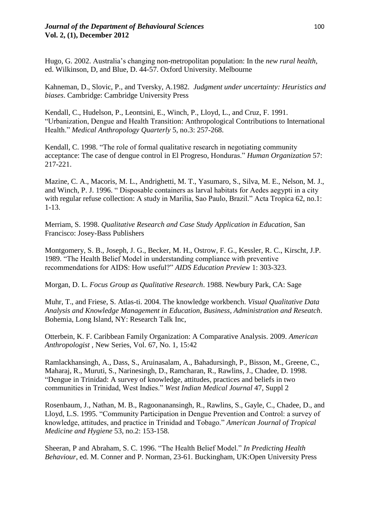Hugo, G. 2002. Australia"s changing non-metropolitan population: In the *new rural health*, ed. Wilkinson, D, and Blue, D. 44-57. Oxford University. Melbourne

Kahneman, D., Slovic, P., and Tversky, A.1982. *Judgment under uncertainty: Heuristics and biases*. Cambridge: Cambridge University Press

Kendall, C., Hudelson, P., Leontsini, E., Winch, P., Lloyd, L., and Cruz, F. 1991. "Urbanization, Dengue and Health Transition: Anthropological Contributions to International Health." *Medical Anthropology Quarterly* 5, no.3: 257-268.

Kendall, C. 1998. "The role of formal qualitative research in negotiating community acceptance: The case of dengue control in El Progreso, Honduras." *Human Organization* 57: 217-221.

Mazine, C. A., Macoris, M. L., Andrighetti, M. T., Yasumaro, S., Silva, M. E., Nelson, M. J., and Winch, P. J. 1996. " Disposable containers as larval habitats for Aedes aegypti in a city with regular refuse collection: A study in Marilia, Sao Paulo, Brazil." Acta Tropica 62, no.1: 1-13.

Merriam, S. 1998. *Qualitative Research and Case Study Application in Education*, San Francisco: Josey-Bass Publishers

Montgomery, S. B., Joseph, J. G., Becker, M. H., Ostrow, F. G., Kessler, R. C., Kirscht, J.P. 1989. "The Health Belief Model in understanding compliance with preventive recommendations for AIDS: How useful?" *AIDS Education Preview* 1: 303-323.

Morgan, D. L. *Focus Group as Qualitative Research*. 1988. Newbury Park, CA: Sage

Muhr, T., and Friese, S. Atlas-ti. 2004. The knowledge workbench. *Visual Qualitative Data Analysis and Knowledge Management in Education, Business*, *Administration and Reseatch*. Bohemia, Long Island, NY: Research Talk Inc,

Otterbein, K. F. Caribbean Family Organization: A Comparative Analysis. 2009. *American Anthropologist* , New Series, Vol. 67, No. 1, 15:42

Ramlackhansingh, A., Dass, S., Aruinasalam, A., Bahadursingh, P., Bisson, M., Greene, C., Maharaj, R., Muruti, S., Narinesingh, D., Ramcharan, R., Rawlins, J., Chadee, D. 1998. "Dengue in Trinidad: A survey of knowledge, attitudes, practices and beliefs in two communities in Trinidad, West Indies." *West Indian Medical Journal* 47, Suppl 2

Rosenbaum, J., Nathan, M. B., Ragoonanansingh, R., Rawlins, S., Gayle, C., Chadee, D., and Lloyd, L.S. 1995. "Community Participation in Dengue Prevention and Control: a survey of knowledge, attitudes, and practice in Trinidad and Tobago." *American Journal of Tropical Medicine and Hygiene* 53, no.2: 153-158.

Sheeran, P and Abraham, S. C. 1996. "The Health Belief Model." *In Predicting Health Behaviour*, ed. M. Conner and P. Norman, 23-61. Buckingham, UK:Open University Press